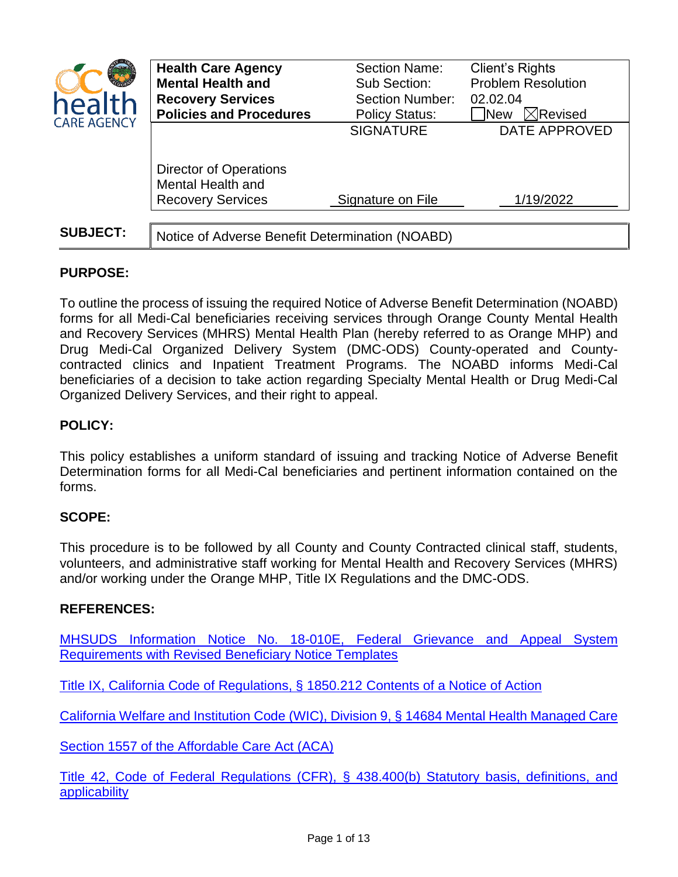| health<br><b>CARE AGENCY</b> | <b>Health Care Agency</b><br><b>Mental Health and</b><br><b>Recovery Services</b><br><b>Policies and Procedures</b> | <b>Section Name:</b><br>Sub Section:<br><b>Section Number:</b><br><b>Policy Status:</b> | Client's Rights<br><b>Problem Resolution</b><br>02.02.04<br>$\boxtimes$ Revised<br><b>New</b> |
|------------------------------|---------------------------------------------------------------------------------------------------------------------|-----------------------------------------------------------------------------------------|-----------------------------------------------------------------------------------------------|
|                              |                                                                                                                     | <b>SIGNATURE</b>                                                                        | <b>DATE APPROVED</b>                                                                          |
|                              | <b>Director of Operations</b><br><b>Mental Health and</b><br><b>Recovery Services</b>                               | Signature on File                                                                       | 1/19/2022                                                                                     |
| <b>SUBJECT:</b>              | Notice of Adverse Benefit Determination (NOABD)                                                                     |                                                                                         |                                                                                               |

# **PURPOSE:**

To outline the process of issuing the required Notice of Adverse Benefit Determination (NOABD) forms for all Medi-Cal beneficiaries receiving services through Orange County Mental Health and Recovery Services (MHRS) Mental Health Plan (hereby referred to as Orange MHP) and Drug Medi-Cal Organized Delivery System (DMC-ODS) County-operated and Countycontracted clinics and Inpatient Treatment Programs. The NOABD informs Medi-Cal beneficiaries of a decision to take action regarding Specialty Mental Health or Drug Medi-Cal Organized Delivery Services, and their right to appeal.

# **POLICY:**

This policy establishes a uniform standard of issuing and tracking Notice of Adverse Benefit Determination forms for all Medi-Cal beneficiaries and pertinent information contained on the forms.

## **SCOPE:**

This procedure is to be followed by all County and County Contracted clinical staff, students, volunteers, and administrative staff working for Mental Health and Recovery Services (MHRS) and/or working under the Orange MHP, Title IX Regulations and the DMC-ODS.

## **REFERENCES:**

[MHSUDS Information Notice No. 18-010E, Federal Grievance and Appeal System](https://www.dhcs.ca.gov/services/MH/Documents/Information%20Notices/NOABD%20IN/MHSUDS_IN_18-010_Federal_Grievance_Appeal_System_Requirements.pdf)  [Requirements with Revised Beneficiary Notice Templates](https://www.dhcs.ca.gov/services/MH/Documents/Information%20Notices/NOABD%20IN/MHSUDS_IN_18-010_Federal_Grievance_Appeal_System_Requirements.pdf)

[Title IX, California Code of Regulations, § 1850.212](https://govt.westlaw.com/calregs/Document/I591954E0D45311DEB97CF67CD0B99467?viewType=FullText&listSource=Search&originationContext=Search+Result&transitionType=SearchItem&contextData=(sc.Search)&navigationPath=Search%2fv1%2fresults%2fnavigation%2fi0ad720f10000016e136fd5539ee973a5%3fNav%3dREGULATION_PUBLICVIEW%26fragmentIdentifier%3dI591954E0D45311DEB97CF67CD0B99467%26startIndex%3d1%26transitionType%3dSearchItem%26contextData%3d%2528sc.Default%2529%26originationContext%3dSearch%2520Result&list=REGULATION_PUBLICVIEW&rank=1&t_T1=9&t_T2=1850.212&t_S1=CA+ADC+s) Contents of a Notice of Action

[California Welfare and Institution Code](http://leginfo.legislature.ca.gov/faces/codes_displaySection.xhtml?sectionNum=14684.&lawCode=WIC) (WIC), Division 9, § 14684 Mental Health Managed Care

[Section 1557 of the Affordable Care Act \(ACA\)](https://www.hhs.gov/civil-rights/for-individuals/section-1557/index.html)

[Title 42, Code of Federal Regulations \(CFR\), § 438.400\(b\) Statutory basis, definitions, and](https://www.govregs.com/regulations/expand/title42_chapterIV_part438_subpartF_section438.404#title42_chapterIV_part438_subpartF_section438.400)  [applicability](https://www.govregs.com/regulations/expand/title42_chapterIV_part438_subpartF_section438.404#title42_chapterIV_part438_subpartF_section438.400)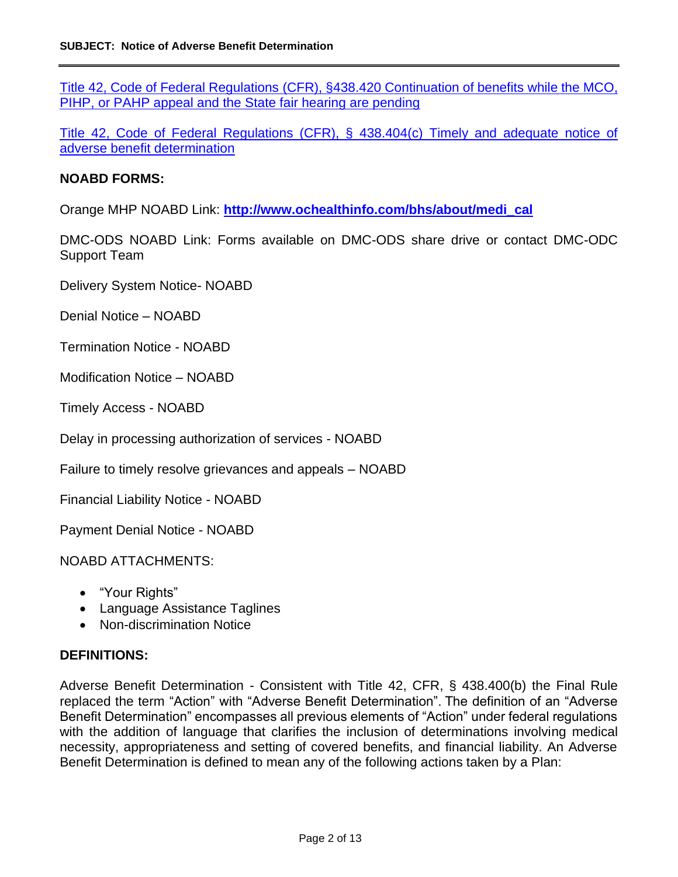Title 42, Code of Federal Regulations [\(CFR\), §438.420 Continuation of benefits while the MCO,](https://www.govregs.com/regulations/expand/title42_chapterIV_part438_subpartF_section438.404#title42_chapterIV_part438_subpartF_section438.420)  [PIHP, or PAHP appeal and the State fair hearing are pending](https://www.govregs.com/regulations/expand/title42_chapterIV_part438_subpartF_section438.404#title42_chapterIV_part438_subpartF_section438.420)

Title 42, Code of Federal Regulations [\(CFR\), § 438.404\(c\) Timely and adequate notice of](https://www.govregs.com/regulations/expand/title42_chapterIV_part438_subpartF_section438.404#title42_chapterIV_part438_subpartF_section438.404)  [adverse benefit determination](https://www.govregs.com/regulations/expand/title42_chapterIV_part438_subpartF_section438.404#title42_chapterIV_part438_subpartF_section438.404)

#### **NOABD FORMS:**

Orange MHP NOABD Link: **[http://www.ochealthinfo.com/bhs/about/medi\\_cal](http://www.ochealthinfo.com/bhs/about/medi_cal)**

DMC-ODS NOABD Link: Forms available on DMC-ODS share drive or contact DMC-ODC Support Team

Delivery System Notice- NOABD

Denial Notice – NOABD

Termination Notice - NOABD

Modification Notice – NOABD

Timely Access - NOABD

Delay in processing authorization of services - NOABD

Failure to timely resolve grievances and appeals – NOABD

Financial Liability Notice - NOABD

Payment Denial Notice - NOABD

NOABD ATTACHMENTS:

- "Your Rights"
- Language Assistance Taglines
- Non-discrimination Notice

#### **DEFINITIONS:**

Adverse Benefit Determination - Consistent with Title 42, CFR, § 438.400(b) the Final Rule replaced the term "Action" with "Adverse Benefit Determination". The definition of an "Adverse Benefit Determination" encompasses all previous elements of "Action" under federal regulations with the addition of language that clarifies the inclusion of determinations involving medical necessity, appropriateness and setting of covered benefits, and financial liability. An Adverse Benefit Determination is defined to mean any of the following actions taken by a Plan: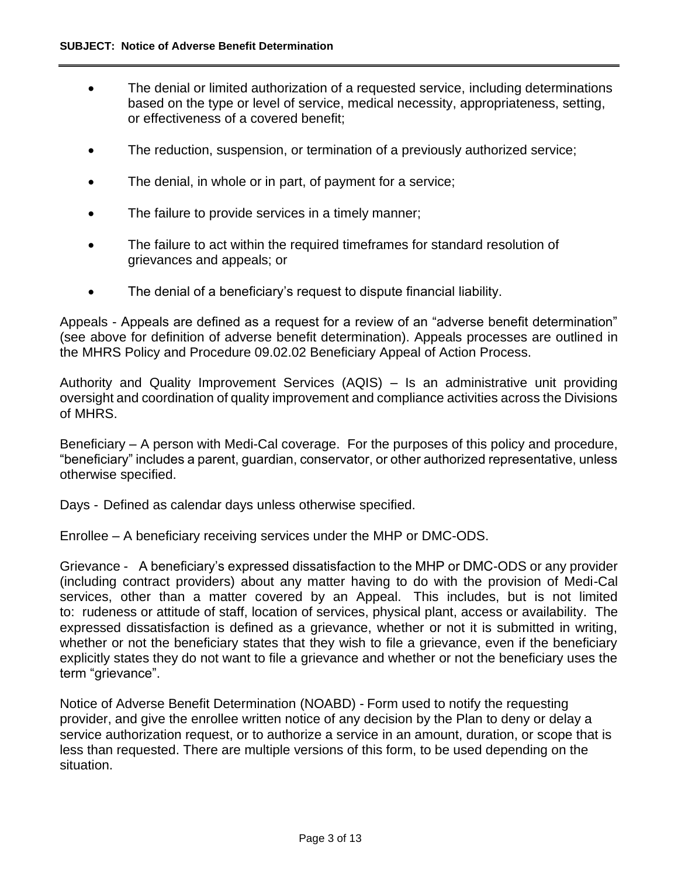- The denial or limited authorization of a requested service, including determinations based on the type or level of service, medical necessity, appropriateness, setting, or effectiveness of a covered benefit;
- The reduction, suspension, or termination of a previously authorized service;
- The denial, in whole or in part, of payment for a service;
- The failure to provide services in a timely manner;
- The failure to act within the required timeframes for standard resolution of grievances and appeals; or
- The denial of a beneficiary's request to dispute financial liability.

Appeals - Appeals are defined as a request for a review of an "adverse benefit determination" (see above for definition of adverse benefit determination). Appeals processes are outlined in the MHRS Policy and Procedure 09.02.02 Beneficiary Appeal of Action Process.

Authority and Quality Improvement Services (AQIS) – Is an administrative unit providing oversight and coordination of quality improvement and compliance activities across the Divisions of MHRS.

Beneficiary – A person with Medi-Cal coverage. For the purposes of this policy and procedure, "beneficiary" includes a parent, guardian, conservator, or other authorized representative, unless otherwise specified.

Days - Defined as calendar days unless otherwise specified.

Enrollee – A beneficiary receiving services under the MHP or DMC-ODS.

Grievance - A beneficiary's expressed dissatisfaction to the MHP or DMC-ODS or any provider (including contract providers) about any matter having to do with the provision of Medi-Cal services, other than a matter covered by an Appeal. This includes, but is not limited to: rudeness or attitude of staff, location of services, physical plant, access or availability. The expressed dissatisfaction is defined as a grievance, whether or not it is submitted in writing, whether or not the beneficiary states that they wish to file a grievance, even if the beneficiary explicitly states they do not want to file a grievance and whether or not the beneficiary uses the term "grievance".

Notice of Adverse Benefit Determination (NOABD) - Form used to notify the requesting provider, and give the enrollee written notice of any decision by the Plan to deny or delay a service authorization request, or to authorize a service in an amount, duration, or scope that is less than requested. There are multiple versions of this form, to be used depending on the situation.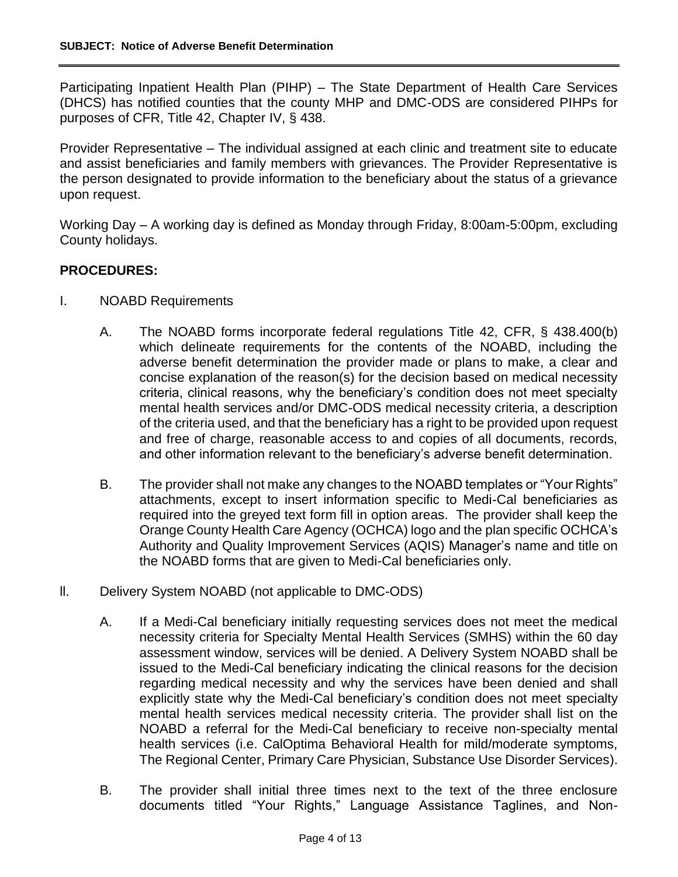Participating Inpatient Health Plan (PIHP) – The State Department of Health Care Services (DHCS) has notified counties that the county MHP and DMC-ODS are considered PIHPs for purposes of CFR, Title 42, Chapter IV, § 438.

Provider Representative – The individual assigned at each clinic and treatment site to educate and assist beneficiaries and family members with grievances. The Provider Representative is the person designated to provide information to the beneficiary about the status of a grievance upon request.

Working Day – A working day is defined as Monday through Friday, 8:00am-5:00pm, excluding County holidays.

## **PROCEDURES:**

- I. NOABD Requirements
	- A. The NOABD forms incorporate federal regulations Title 42, CFR, § 438.400(b) which delineate requirements for the contents of the NOABD, including the adverse benefit determination the provider made or plans to make, a clear and concise explanation of the reason(s) for the decision based on medical necessity criteria, clinical reasons, why the beneficiary's condition does not meet specialty mental health services and/or DMC-ODS medical necessity criteria, a description of the criteria used, and that the beneficiary has a right to be provided upon request and free of charge, reasonable access to and copies of all documents, records, and other information relevant to the beneficiary's adverse benefit determination.
	- B. The provider shall not make any changes to the NOABD templates or "Your Rights" attachments, except to insert information specific to Medi-Cal beneficiaries as required into the greyed text form fill in option areas. The provider shall keep the Orange County Health Care Agency (OCHCA) logo and the plan specific OCHCA's Authority and Quality Improvement Services (AQIS) Manager's name and title on the NOABD forms that are given to Medi-Cal beneficiaries only.
- ll. Delivery System NOABD (not applicable to DMC-ODS)
	- A. If a Medi-Cal beneficiary initially requesting services does not meet the medical necessity criteria for Specialty Mental Health Services (SMHS) within the 60 day assessment window, services will be denied. A Delivery System NOABD shall be issued to the Medi-Cal beneficiary indicating the clinical reasons for the decision regarding medical necessity and why the services have been denied and shall explicitly state why the Medi-Cal beneficiary's condition does not meet specialty mental health services medical necessity criteria. The provider shall list on the NOABD a referral for the Medi-Cal beneficiary to receive non-specialty mental health services (i.e. CalOptima Behavioral Health for mild/moderate symptoms, The Regional Center, Primary Care Physician, Substance Use Disorder Services).
	- B. The provider shall initial three times next to the text of the three enclosure documents titled "Your Rights," Language Assistance Taglines, and Non-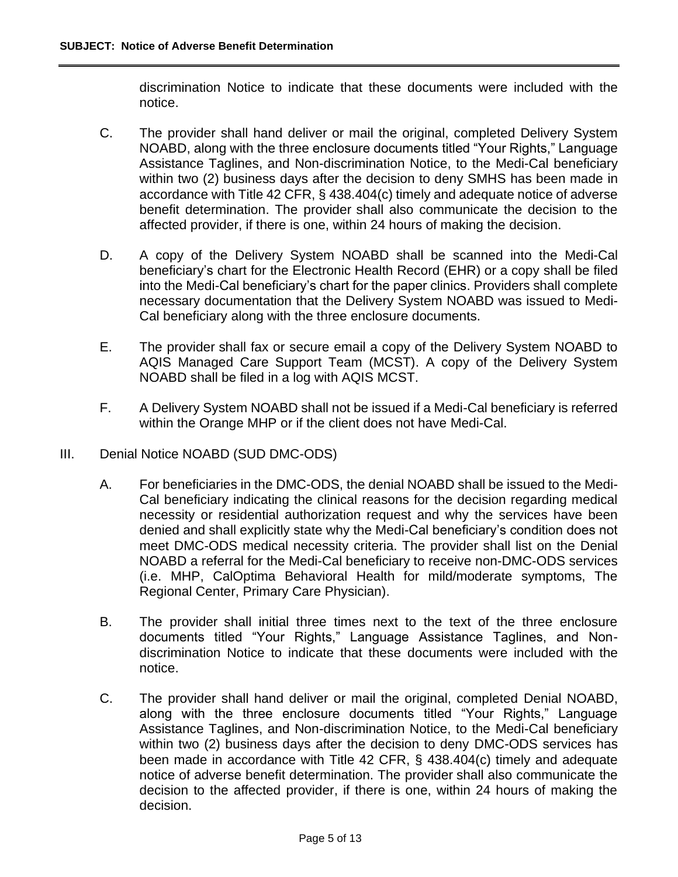discrimination Notice to indicate that these documents were included with the notice.

- C. The provider shall hand deliver or mail the original, completed Delivery System NOABD, along with the three enclosure documents titled "Your Rights," Language Assistance Taglines, and Non-discrimination Notice, to the Medi-Cal beneficiary within two (2) business days after the decision to deny SMHS has been made in accordance with Title 42 CFR, § 438.404(c) timely and adequate notice of adverse benefit determination. The provider shall also communicate the decision to the affected provider, if there is one, within 24 hours of making the decision.
- D. A copy of the Delivery System NOABD shall be scanned into the Medi-Cal beneficiary's chart for the Electronic Health Record (EHR) or a copy shall be filed into the Medi-Cal beneficiary's chart for the paper clinics. Providers shall complete necessary documentation that the Delivery System NOABD was issued to Medi-Cal beneficiary along with the three enclosure documents.
- E. The provider shall fax or secure email a copy of the Delivery System NOABD to AQIS Managed Care Support Team (MCST). A copy of the Delivery System NOABD shall be filed in a log with AQIS MCST.
- F. A Delivery System NOABD shall not be issued if a Medi-Cal beneficiary is referred within the Orange MHP or if the client does not have Medi-Cal.
- III. Denial Notice NOABD (SUD DMC-ODS)
	- A. For beneficiaries in the DMC-ODS, the denial NOABD shall be issued to the Medi-Cal beneficiary indicating the clinical reasons for the decision regarding medical necessity or residential authorization request and why the services have been denied and shall explicitly state why the Medi-Cal beneficiary's condition does not meet DMC-ODS medical necessity criteria. The provider shall list on the Denial NOABD a referral for the Medi-Cal beneficiary to receive non-DMC-ODS services (i.e. MHP, CalOptima Behavioral Health for mild/moderate symptoms, The Regional Center, Primary Care Physician).
	- B. The provider shall initial three times next to the text of the three enclosure documents titled "Your Rights," Language Assistance Taglines, and Nondiscrimination Notice to indicate that these documents were included with the notice.
	- C. The provider shall hand deliver or mail the original, completed Denial NOABD, along with the three enclosure documents titled "Your Rights," Language Assistance Taglines, and Non-discrimination Notice, to the Medi-Cal beneficiary within two (2) business days after the decision to deny DMC-ODS services has been made in accordance with Title 42 CFR, § 438.404(c) timely and adequate notice of adverse benefit determination. The provider shall also communicate the decision to the affected provider, if there is one, within 24 hours of making the decision.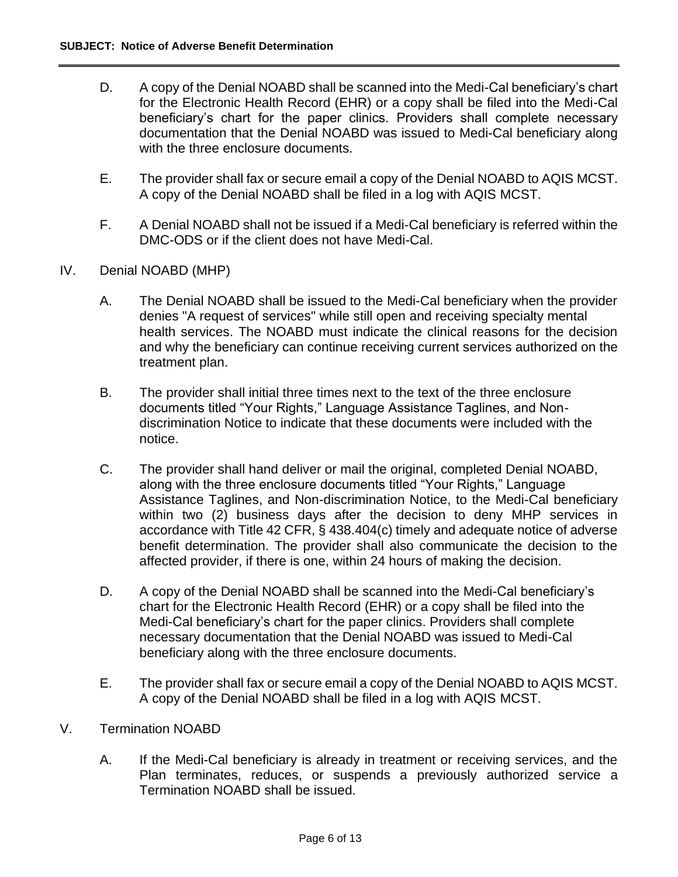- D. A copy of the Denial NOABD shall be scanned into the Medi-Cal beneficiary's chart for the Electronic Health Record (EHR) or a copy shall be filed into the Medi-Cal beneficiary's chart for the paper clinics. Providers shall complete necessary documentation that the Denial NOABD was issued to Medi-Cal beneficiary along with the three enclosure documents.
- E. The provider shall fax or secure email a copy of the Denial NOABD to AQIS MCST. A copy of the Denial NOABD shall be filed in a log with AQIS MCST.
- F. A Denial NOABD shall not be issued if a Medi-Cal beneficiary is referred within the DMC-ODS or if the client does not have Medi-Cal.
- IV. Denial NOABD (MHP)
	- A. The Denial NOABD shall be issued to the Medi-Cal beneficiary when the provider denies "A request of services" while still open and receiving specialty mental health services. The NOABD must indicate the clinical reasons for the decision and why the beneficiary can continue receiving current services authorized on the treatment plan.
	- B. The provider shall initial three times next to the text of the three enclosure documents titled "Your Rights," Language Assistance Taglines, and Nondiscrimination Notice to indicate that these documents were included with the notice.
	- C. The provider shall hand deliver or mail the original, completed Denial NOABD, along with the three enclosure documents titled "Your Rights," Language Assistance Taglines, and Non-discrimination Notice, to the Medi-Cal beneficiary within two (2) business days after the decision to deny MHP services in accordance with Title 42 CFR, § 438.404(c) timely and adequate notice of adverse benefit determination. The provider shall also communicate the decision to the affected provider, if there is one, within 24 hours of making the decision.
	- D. A copy of the Denial NOABD shall be scanned into the Medi-Cal beneficiary's chart for the Electronic Health Record (EHR) or a copy shall be filed into the Medi-Cal beneficiary's chart for the paper clinics. Providers shall complete necessary documentation that the Denial NOABD was issued to Medi-Cal beneficiary along with the three enclosure documents.
	- E. The provider shall fax or secure email a copy of the Denial NOABD to AQIS MCST. A copy of the Denial NOABD shall be filed in a log with AQIS MCST.
- V. Termination NOABD
	- A. If the Medi-Cal beneficiary is already in treatment or receiving services, and the Plan terminates, reduces, or suspends a previously authorized service a Termination NOABD shall be issued.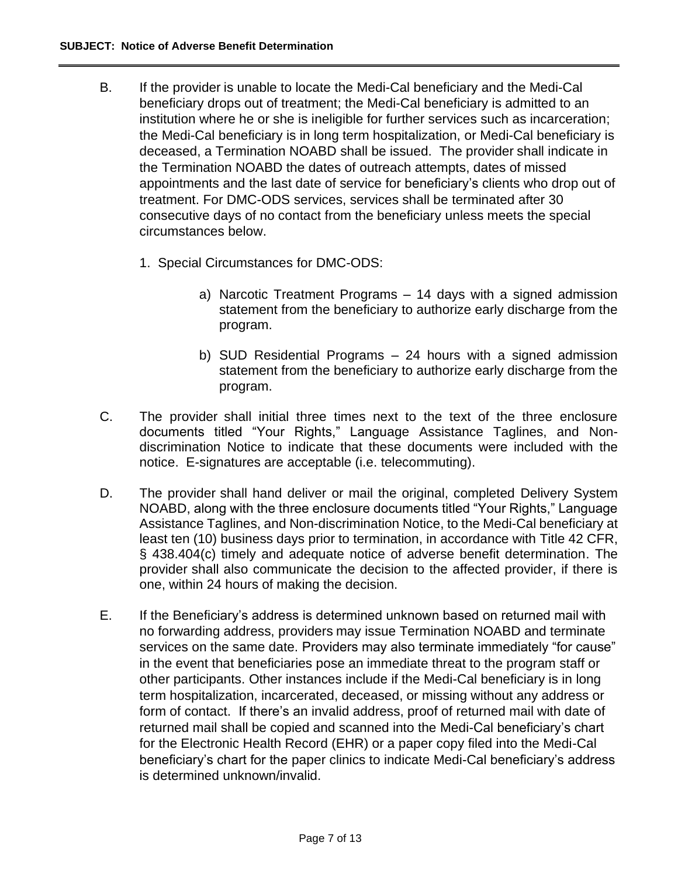- B. If the provider is unable to locate the Medi-Cal beneficiary and the Medi-Cal beneficiary drops out of treatment; the Medi-Cal beneficiary is admitted to an institution where he or she is ineligible for further services such as incarceration; the Medi-Cal beneficiary is in long term hospitalization, or Medi-Cal beneficiary is deceased, a Termination NOABD shall be issued. The provider shall indicate in the Termination NOABD the dates of outreach attempts, dates of missed appointments and the last date of service for beneficiary's clients who drop out of treatment. For DMC-ODS services, services shall be terminated after 30 consecutive days of no contact from the beneficiary unless meets the special circumstances below.
	- 1. Special Circumstances for DMC-ODS:
		- a) Narcotic Treatment Programs 14 days with a signed admission statement from the beneficiary to authorize early discharge from the program.
		- b) SUD Residential Programs 24 hours with a signed admission statement from the beneficiary to authorize early discharge from the program.
- C. The provider shall initial three times next to the text of the three enclosure documents titled "Your Rights," Language Assistance Taglines, and Nondiscrimination Notice to indicate that these documents were included with the notice. E-signatures are acceptable (i.e. telecommuting).
- D. The provider shall hand deliver or mail the original, completed Delivery System NOABD, along with the three enclosure documents titled "Your Rights," Language Assistance Taglines, and Non-discrimination Notice, to the Medi-Cal beneficiary at least ten (10) business days prior to termination, in accordance with Title 42 CFR, § 438.404(c) timely and adequate notice of adverse benefit determination. The provider shall also communicate the decision to the affected provider, if there is one, within 24 hours of making the decision.
- E. If the Beneficiary's address is determined unknown based on returned mail with no forwarding address, providers may issue Termination NOABD and terminate services on the same date. Providers may also terminate immediately "for cause" in the event that beneficiaries pose an immediate threat to the program staff or other participants. Other instances include if the Medi-Cal beneficiary is in long term hospitalization, incarcerated, deceased, or missing without any address or form of contact. If there's an invalid address, proof of returned mail with date of returned mail shall be copied and scanned into the Medi-Cal beneficiary's chart for the Electronic Health Record (EHR) or a paper copy filed into the Medi-Cal beneficiary's chart for the paper clinics to indicate Medi-Cal beneficiary's address is determined unknown/invalid.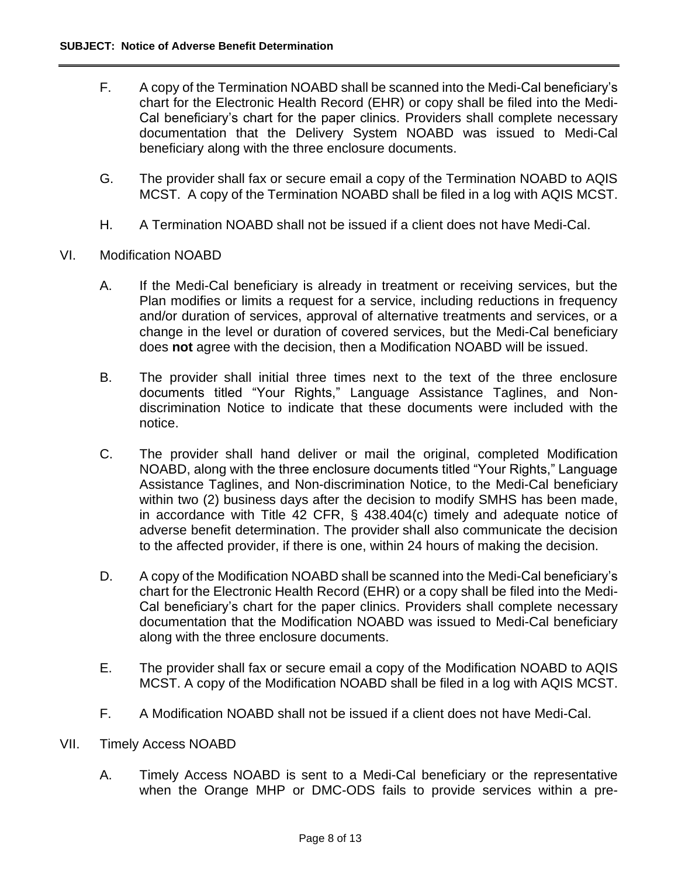- F. A copy of the Termination NOABD shall be scanned into the Medi-Cal beneficiary's chart for the Electronic Health Record (EHR) or copy shall be filed into the Medi-Cal beneficiary's chart for the paper clinics. Providers shall complete necessary documentation that the Delivery System NOABD was issued to Medi-Cal beneficiary along with the three enclosure documents.
- G. The provider shall fax or secure email a copy of the Termination NOABD to AQIS MCST. A copy of the Termination NOABD shall be filed in a log with AQIS MCST.
- H. A Termination NOABD shall not be issued if a client does not have Medi-Cal.
- VI. Modification NOABD
	- A. If the Medi-Cal beneficiary is already in treatment or receiving services, but the Plan modifies or limits a request for a service, including reductions in frequency and/or duration of services, approval of alternative treatments and services, or a change in the level or duration of covered services, but the Medi-Cal beneficiary does **not** agree with the decision, then a Modification NOABD will be issued.
	- B. The provider shall initial three times next to the text of the three enclosure documents titled "Your Rights," Language Assistance Taglines, and Nondiscrimination Notice to indicate that these documents were included with the notice.
	- C. The provider shall hand deliver or mail the original, completed Modification NOABD, along with the three enclosure documents titled "Your Rights," Language Assistance Taglines, and Non-discrimination Notice, to the Medi-Cal beneficiary within two (2) business days after the decision to modify SMHS has been made, in accordance with Title 42 CFR, § 438.404(c) timely and adequate notice of adverse benefit determination. The provider shall also communicate the decision to the affected provider, if there is one, within 24 hours of making the decision.
	- D. A copy of the Modification NOABD shall be scanned into the Medi-Cal beneficiary's chart for the Electronic Health Record (EHR) or a copy shall be filed into the Medi-Cal beneficiary's chart for the paper clinics. Providers shall complete necessary documentation that the Modification NOABD was issued to Medi-Cal beneficiary along with the three enclosure documents.
	- E. The provider shall fax or secure email a copy of the Modification NOABD to AQIS MCST. A copy of the Modification NOABD shall be filed in a log with AQIS MCST.
	- F. A Modification NOABD shall not be issued if a client does not have Medi-Cal.
- VII. Timely Access NOABD
	- A. Timely Access NOABD is sent to a Medi-Cal beneficiary or the representative when the Orange MHP or DMC-ODS fails to provide services within a pre-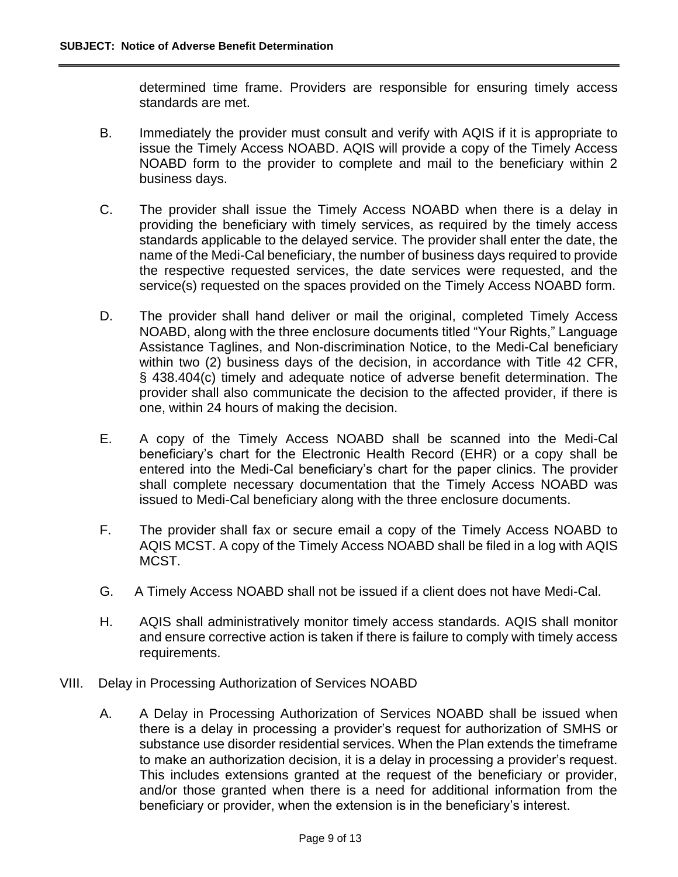determined time frame. Providers are responsible for ensuring timely access standards are met.

- B. Immediately the provider must consult and verify with AQIS if it is appropriate to issue the Timely Access NOABD. AQIS will provide a copy of the Timely Access NOABD form to the provider to complete and mail to the beneficiary within 2 business days.
- C. The provider shall issue the Timely Access NOABD when there is a delay in providing the beneficiary with timely services, as required by the timely access standards applicable to the delayed service. The provider shall enter the date, the name of the Medi-Cal beneficiary, the number of business days required to provide the respective requested services, the date services were requested, and the service(s) requested on the spaces provided on the Timely Access NOABD form.
- D. The provider shall hand deliver or mail the original, completed Timely Access NOABD, along with the three enclosure documents titled "Your Rights," Language Assistance Taglines, and Non-discrimination Notice, to the Medi-Cal beneficiary within two (2) business days of the decision, in accordance with Title 42 CFR, § 438.404(c) timely and adequate notice of adverse benefit determination. The provider shall also communicate the decision to the affected provider, if there is one, within 24 hours of making the decision.
- E. A copy of the Timely Access NOABD shall be scanned into the Medi-Cal beneficiary's chart for the Electronic Health Record (EHR) or a copy shall be entered into the Medi-Cal beneficiary's chart for the paper clinics. The provider shall complete necessary documentation that the Timely Access NOABD was issued to Medi-Cal beneficiary along with the three enclosure documents.
- F. The provider shall fax or secure email a copy of the Timely Access NOABD to AQIS MCST. A copy of the Timely Access NOABD shall be filed in a log with AQIS MCST.
- G. A Timely Access NOABD shall not be issued if a client does not have Medi-Cal.
- H. AQIS shall administratively monitor timely access standards. AQIS shall monitor and ensure corrective action is taken if there is failure to comply with timely access requirements.
- VIII. Delay in Processing Authorization of Services NOABD
	- A. A Delay in Processing Authorization of Services NOABD shall be issued when there is a delay in processing a provider's request for authorization of SMHS or substance use disorder residential services. When the Plan extends the timeframe to make an authorization decision, it is a delay in processing a provider's request. This includes extensions granted at the request of the beneficiary or provider, and/or those granted when there is a need for additional information from the beneficiary or provider, when the extension is in the beneficiary's interest.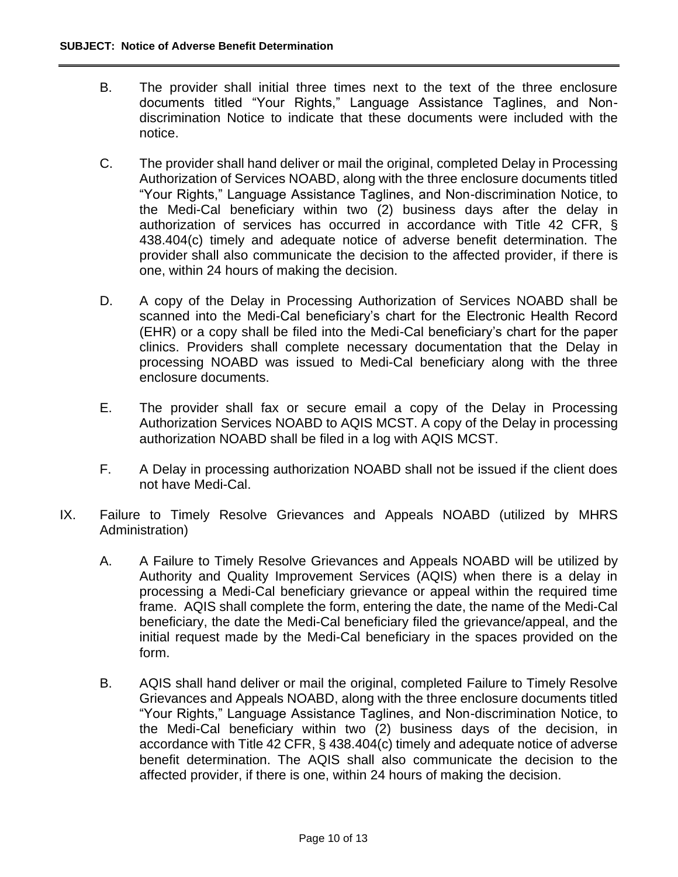- B. The provider shall initial three times next to the text of the three enclosure documents titled "Your Rights," Language Assistance Taglines, and Nondiscrimination Notice to indicate that these documents were included with the notice.
- C. The provider shall hand deliver or mail the original, completed Delay in Processing Authorization of Services NOABD, along with the three enclosure documents titled "Your Rights," Language Assistance Taglines, and Non-discrimination Notice, to the Medi-Cal beneficiary within two (2) business days after the delay in authorization of services has occurred in accordance with Title 42 CFR, § 438.404(c) timely and adequate notice of adverse benefit determination. The provider shall also communicate the decision to the affected provider, if there is one, within 24 hours of making the decision.
- D. A copy of the Delay in Processing Authorization of Services NOABD shall be scanned into the Medi-Cal beneficiary's chart for the Electronic Health Record (EHR) or a copy shall be filed into the Medi-Cal beneficiary's chart for the paper clinics. Providers shall complete necessary documentation that the Delay in processing NOABD was issued to Medi-Cal beneficiary along with the three enclosure documents.
- E. The provider shall fax or secure email a copy of the Delay in Processing Authorization Services NOABD to AQIS MCST. A copy of the Delay in processing authorization NOABD shall be filed in a log with AQIS MCST.
- F. A Delay in processing authorization NOABD shall not be issued if the client does not have Medi-Cal.
- IX. Failure to Timely Resolve Grievances and Appeals NOABD (utilized by MHRS Administration)
	- A. A Failure to Timely Resolve Grievances and Appeals NOABD will be utilized by Authority and Quality Improvement Services (AQIS) when there is a delay in processing a Medi-Cal beneficiary grievance or appeal within the required time frame. AQIS shall complete the form, entering the date, the name of the Medi-Cal beneficiary, the date the Medi-Cal beneficiary filed the grievance/appeal, and the initial request made by the Medi-Cal beneficiary in the spaces provided on the form.
	- B. AQIS shall hand deliver or mail the original, completed Failure to Timely Resolve Grievances and Appeals NOABD, along with the three enclosure documents titled "Your Rights," Language Assistance Taglines, and Non-discrimination Notice, to the Medi-Cal beneficiary within two (2) business days of the decision, in accordance with Title 42 CFR, § 438.404(c) timely and adequate notice of adverse benefit determination. The AQIS shall also communicate the decision to the affected provider, if there is one, within 24 hours of making the decision.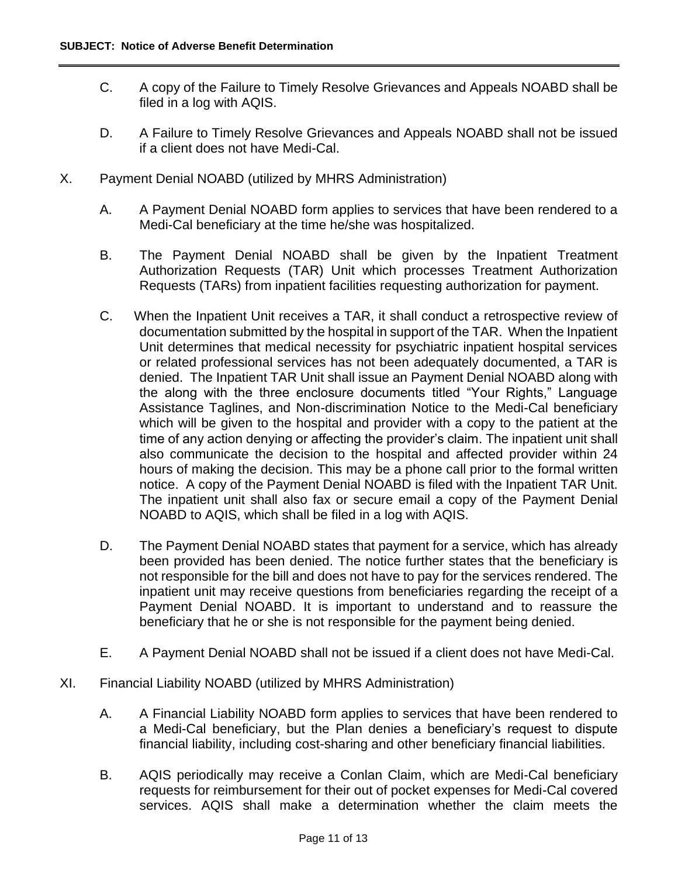- C. A copy of the Failure to Timely Resolve Grievances and Appeals NOABD shall be filed in a log with AQIS.
- D. A Failure to Timely Resolve Grievances and Appeals NOABD shall not be issued if a client does not have Medi-Cal.
- X. Payment Denial NOABD (utilized by MHRS Administration)
	- A. A Payment Denial NOABD form applies to services that have been rendered to a Medi-Cal beneficiary at the time he/she was hospitalized.
	- B. The Payment Denial NOABD shall be given by the Inpatient Treatment Authorization Requests (TAR) Unit which processes Treatment Authorization Requests (TARs) from inpatient facilities requesting authorization for payment.
	- C. When the Inpatient Unit receives a TAR, it shall conduct a retrospective review of documentation submitted by the hospital in support of the TAR. When the Inpatient Unit determines that medical necessity for psychiatric inpatient hospital services or related professional services has not been adequately documented, a TAR is denied. The Inpatient TAR Unit shall issue an Payment Denial NOABD along with the along with the three enclosure documents titled "Your Rights," Language Assistance Taglines, and Non-discrimination Notice to the Medi-Cal beneficiary which will be given to the hospital and provider with a copy to the patient at the time of any action denying or affecting the provider's claim. The inpatient unit shall also communicate the decision to the hospital and affected provider within 24 hours of making the decision. This may be a phone call prior to the formal written notice. A copy of the Payment Denial NOABD is filed with the Inpatient TAR Unit. The inpatient unit shall also fax or secure email a copy of the Payment Denial NOABD to AQIS, which shall be filed in a log with AQIS.
	- D. The Payment Denial NOABD states that payment for a service, which has already been provided has been denied. The notice further states that the beneficiary is not responsible for the bill and does not have to pay for the services rendered. The inpatient unit may receive questions from beneficiaries regarding the receipt of a Payment Denial NOABD. It is important to understand and to reassure the beneficiary that he or she is not responsible for the payment being denied.
	- E. A Payment Denial NOABD shall not be issued if a client does not have Medi-Cal.
- XI. Financial Liability NOABD (utilized by MHRS Administration)
	- A. A Financial Liability NOABD form applies to services that have been rendered to a Medi-Cal beneficiary, but the Plan denies a beneficiary's request to dispute financial liability, including cost-sharing and other beneficiary financial liabilities.
	- B. AQIS periodically may receive a Conlan Claim, which are Medi-Cal beneficiary requests for reimbursement for their out of pocket expenses for Medi-Cal covered services. AQIS shall make a determination whether the claim meets the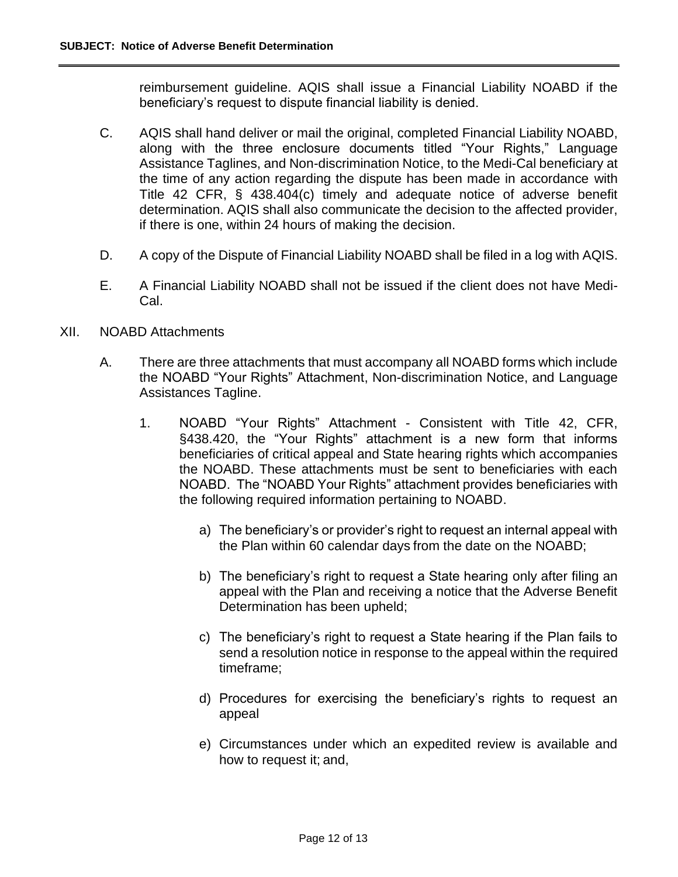reimbursement guideline. AQIS shall issue a Financial Liability NOABD if the beneficiary's request to dispute financial liability is denied.

- C. AQIS shall hand deliver or mail the original, completed Financial Liability NOABD, along with the three enclosure documents titled "Your Rights," Language Assistance Taglines, and Non-discrimination Notice, to the Medi-Cal beneficiary at the time of any action regarding the dispute has been made in accordance with Title 42 CFR, § 438.404(c) timely and adequate notice of adverse benefit determination. AQIS shall also communicate the decision to the affected provider, if there is one, within 24 hours of making the decision.
- D. A copy of the Dispute of Financial Liability NOABD shall be filed in a log with AQIS.
- E. A Financial Liability NOABD shall not be issued if the client does not have Medi-Cal.
- XII. NOABD Attachments
	- A. There are three attachments that must accompany all NOABD forms which include the NOABD "Your Rights" Attachment, Non-discrimination Notice, and Language Assistances Tagline.
		- 1. NOABD "Your Rights" Attachment Consistent with Title 42, CFR, §438.420, the "Your Rights" attachment is a new form that informs beneficiaries of critical appeal and State hearing rights which accompanies the NOABD. These attachments must be sent to beneficiaries with each NOABD. The "NOABD Your Rights" attachment provides beneficiaries with the following required information pertaining to NOABD.
			- a) The beneficiary's or provider's right to request an internal appeal with the Plan within 60 calendar days from the date on the NOABD;
			- b) The beneficiary's right to request a State hearing only after filing an appeal with the Plan and receiving a notice that the Adverse Benefit Determination has been upheld;
			- c) The beneficiary's right to request a State hearing if the Plan fails to send a resolution notice in response to the appeal within the required timeframe;
			- d) Procedures for exercising the beneficiary's rights to request an appeal
			- e) Circumstances under which an expedited review is available and how to request it; and,